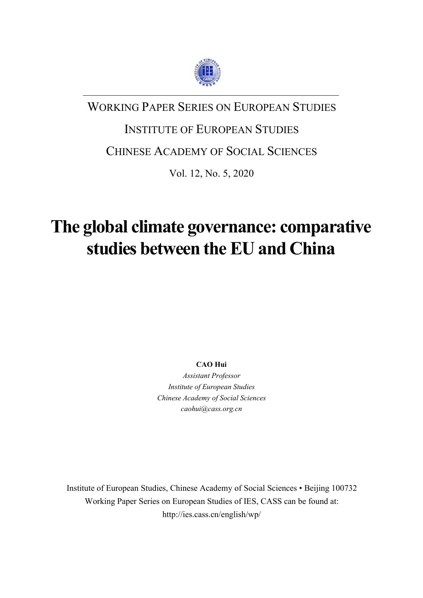

## WORKING PAPER SERIES ON EUROPEAN STUDIES

## INSTITUTE OF EUROPEAN STUDIES

### CHINESE ACADEMY OF SOCIAL SCIENCES

Vol. 12, No. 5, 2020

# **The global climate governance: comparative studies between the EU and China**

**CAO Hui**

*Assistant Professor Institute of European Studies Chinese Academy of Social Sciences caohui@cass.org.cn*

Institute of European Studies, Chinese Academy of Social Sciences • Beijing 100732 Working Paper Series on European Studies of IES, CASS can be found at: http://ies.cass.cn/english/wp/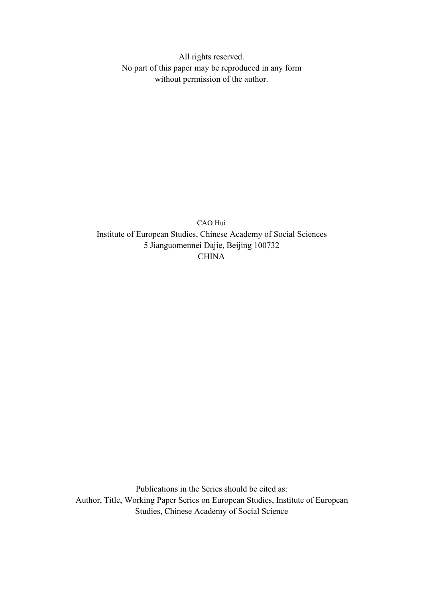All rights reserved. No part of this paper may be reproduced in any form without permission of the author.

CAO Hui Institute of European Studies, Chinese Academy of Social Sciences 5 Jianguomennei Dajie, Beijing 100732 **CHINA** 

Publications in the Series should be cited as: Author, Title, Working Paper Series on European Studies, Institute of European Studies, Chinese Academy of Social Science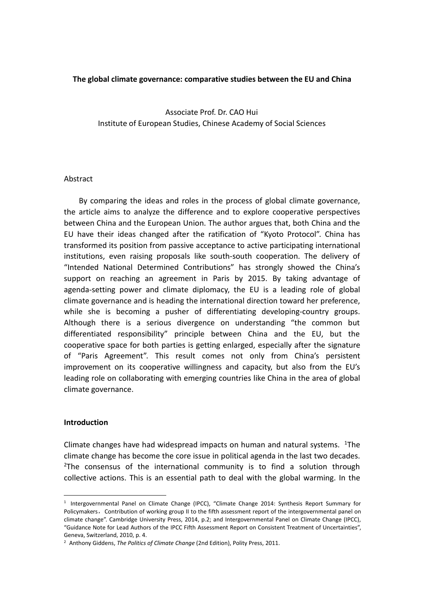#### **The global climate governance: comparative studies between the EU and China**

Associate Prof. Dr. CAO Hui Institute of European Studies, Chinese Academy of Social Sciences

#### Abstract

By comparing the ideas and roles in the process of global climate governance, the article aims to analyze the difference and to explore cooperative perspectives between China and the European Union. The author argues that, both China and the EU have their ideas changed after the ratification of "Kyoto Protocol". China has transformed its position from passive acceptance to active participating international institutions, even raising proposals like south-south cooperation. The delivery of "Intended National Determined Contributions" has strongly showed the China's support on reaching an agreement in Paris by 2015. By taking advantage of agenda-setting power and climate diplomacy, the EU is a leading role of global climate governance and is heading the international direction toward her preference, while she is becoming a pusher of differentiating developing-country groups. Although there is a serious divergence on understanding "the common but differentiated responsibility" principle between China and the EU, but the cooperative space for both parties is getting enlarged, especially after the signature of "Paris Agreement". This result comes not only from China's persistent improvement on its cooperative willingness and capacity, but also from the EU's leading role on collaborating with emerging countries like China in the area of global climate governance.

#### **Introduction**

Climate changes have had widespread impacts on human and natural systems.  $1\text{The}$  $1\text{The}$ climate change has become the core issue in political agenda in the last two decades. <sup>[2](#page-2-1)</sup>The consensus of the international community is to find a solution through collective actions. This is an essential path to deal with the global warming. In the

<span id="page-2-0"></span><sup>1</sup> Intergovernmental Panel on Climate Change (IPCC), "Climate Change 2014: Synthesis Report Summary for Policymakers, Contribution of working group II to the fifth assessment report of the intergovernmental panel on climate change". Cambridge University Press, 2014, p.2; and Intergovernmental Panel on Climate Change (IPCC), "Guidance Note for Lead Authors of the IPCC Fifth Assessment Report on Consistent Treatment of Uncertainties", Geneva, Switzerland, 2010, p. 4.

<span id="page-2-1"></span><sup>2</sup> Anthony Giddens, *The Politics of Climate Change* (2nd Edition), Polity Press, 2011.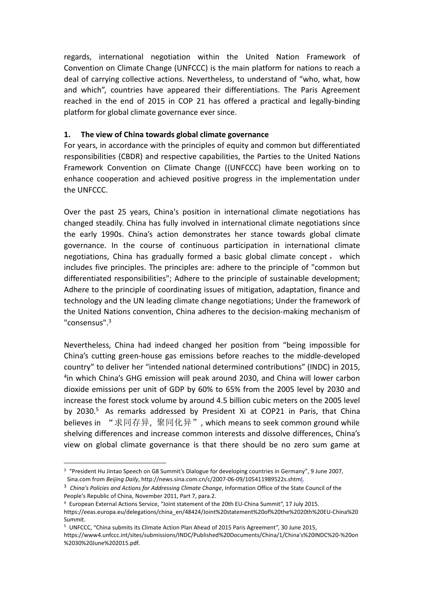regards, international negotiation within the United Nation Framework of Convention on Climate Change (UNFCCC) is the main platform for nations to reach a deal of carrying collective actions. Nevertheless, to understand of "who, what, how and which", countries have appeared their differentiations. The Paris Agreement reached in the end of 2015 in COP 21 has offered a practical and legally-binding platform for global climate governance ever since.

#### **1. The view of China towards global climate governance**

For years, in accordance with the principles of equity and common but differentiated responsibilities (CBDR) and respective capabilities, the Parties to the United Nations Framework Convention on Climate Change ((UNFCCC) have been working on to enhance cooperation and achieved positive progress in the implementation under the UNFCCC.

Over the past 25 years, China's position in international climate negotiations has changed steadily. China hasfully involved in international climate negotiations since the early 1990s. China's action demonstrates her stance towards global climate governance. In the course of continuous participation in international climate negotiations, China has gradually formed a basic global climate concept , which includes five principles. The principles are: adhere to the principle of "common but differentiated responsibilities"; Adhere to the principle of sustainable development; Adhere to the principle of coordinating issues of mitigation, adaptation, finance and technology and the UN leading climate change negotiations; Under the framework of the United Nations convention, China adheres to the decision-making mechanism of "consensus".[3](#page-3-0)

Nevertheless, China had indeed changed her position from "being impossible for China's cutting green-house gas emissions before reaches to the middle-developed country" to deliver her "intended national determined contributions" (INDC) in 2015, [4](#page-3-1) in which China's GHG emission will peak around 2030, and China will lower carbon dioxide emissions per unit of GDP by 60% to 65% from the 2005 level by 2030 and increase the forest stock volume by around 4.5 billion cubic meters on the 2005 level by 2030.<sup>[5](#page-3-2)</sup> As remarks addressed by President Xi at COP21 in Paris, that China believes in "求同存异, 聚同化异", which means to seek common ground while shelving differences and increase common interests and dissolve differences, China's view on global climate governance is that there should be no zero sum game at

<span id="page-3-0"></span><sup>3</sup> "President Hu Jintao Speech on G8 Summit's Dialogue for developing countries in Germany", 9 June 2007, Sina.com from *Beijing Daily*, http://news.sina.com.cn/c/2007-06-09/105411989522s.shtml.

<sup>3</sup> *China's Policies and Actions for Addressing Climate Change*, Information Office of the State Council of the People's Republic of China, November 2011, Part 7, para.2.

<span id="page-3-1"></span><sup>4</sup> European External Actions Service, "Joint statement of the 20th EU-China Summit", 17 July 2015. https://eeas.europa.eu/delegations/china\_en/48424/Joint%20statement%20of%20the%2020th%20EU-China%20 Summit.

<span id="page-3-2"></span><sup>&</sup>lt;sup>5</sup> UNFCCC, "China submits its Climate Action Plan Ahead of 2015 Paris Agreement", 30 June 2015,

https://www4.unfccc.int/sites/submissions/INDC/Published%20Documents/China/1/China's%20INDC%20-%20on %2030%20June%202015.pdf.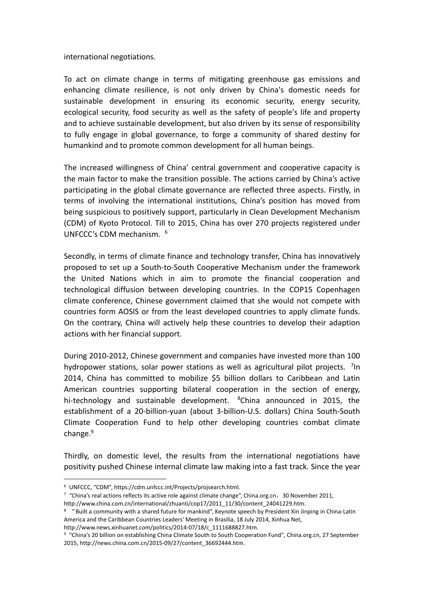international negotiations.

To act on climate change in terms of mitigating greenhouse gas emissions and enhancing climate resilience, is not only driven by China's domestic needs for sustainable development in ensuring its economic security, energy security, ecological security, food security as well as the safety of people's life and property and to achieve sustainable development, but also driven by its sense of responsibility to fully engage in global governance, to forge a community of shared destiny for humankind and to promote common development for all human beings.

The increased willingness of China' central government and cooperative capacity is the main factor to make the transition possible. The actions carried by China's active participating in the global climate governance are reflected three aspects. Firstly, in terms of involving the international institutions, China's position has moved from being suspicious to positively support, particularly in Clean Development Mechanism (CDM) of Kyoto Protocol. Till to 2015, China has over 270 projects registered under UNFCCC's CDM mechanism. [6](#page-4-0)

Secondly, in terms of climate finance and technology transfer, China has innovatively proposed to set up a South-to-South Cooperative Mechanism under the framework the United Nations which in aim to promote the financial cooperation and technological diffusion between developing countries. In the COP15 Copenhagen climate conference, Chinese government claimed that she would not compete with countries form AOSIS or from the least developed countries to apply climate funds. On the contrary, China will actively help these countries to develop their adaption actions with her financial support.

During 2010-2012, Chinese government and companies have invested more than 100 hydropower stations, solar power stations as well as agricultural pilot projects.  $7$ In **In In** 2014, China has committed to mobilize \$5 billion dollars to Caribbean and Latin American countries supporting bilateral cooperation in the section of energy, hi-technology and sustainable development.  ${}^{8}$  ${}^{8}$  ${}^{8}$ China announced in 2015, the establishment of a 20-billion-yuan (about 3-billion-U.S. dollars) China South-South Climate Cooperation Fund to help other developing countries combat climate change.<sup>[9](#page-4-3)</sup>

Thirdly, on domestic level, the results from the international negotiations have positivity pushed Chinese internal climate law making into a fast track. Since the year

<span id="page-4-0"></span><sup>6</sup> UNFCCC, "CDM", https://cdm.unfccc.int/Projects/projsearch.html.

<span id="page-4-1"></span> $7$  "China's real actions reflects its active role against climate change", China.org.cn, 30 November 2011, http://www.china.com.cn/international/zhuanti/cop17/2011\_11/30/content\_24041229.htm.

<span id="page-4-2"></span><sup>8</sup> "Built a community with a shared future for mankind", Keynote speech by President Xin Jinping in China-Latin America and the Caribbean Countries Leaders' Meeting in Brasilia, 18 July 2014, Xinhua Net,

http://www.news.xinhuanet.com/politics/2014-07/18/c\_1111688827.htm.

<span id="page-4-3"></span><sup>9</sup> "China's 20 billion on establishing China Climate South to South Cooperation Fund", China.org.cn, 27 September 2015, http://news.china.com.cn/2015-09/27/content\_36692444.htm.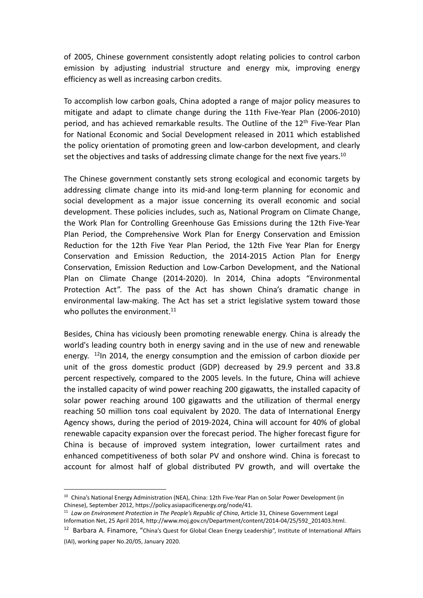of 2005, Chinese government consistently adopt relating policies to control carbon emission by adjusting industrial structure and energy mix, improving energy efficiency as well as increasing carbon credits.

To accomplish low carbon goals, China adopted a range of major policy measures to mitigate and adapt to climate change during the 11th Five-Year Plan (2006-2010) period, and has achieved remarkable results. The Outline of the 12<sup>th</sup> Five-Year Plan for National Economic and Social Development released in 2011 which established the policy orientation of promoting green and low-carbon development, and clearly set the objectives and tasks of addressing climate change for the next five years.<sup>[10](#page-5-0)</sup>

The Chinese government constantly sets strong ecological and economic targets by addressing climate change into its mid-and long-term planning for economic and social development as a major issue concerning its overall economic and social development. These policies includes, such as, National Program on Climate Change, the Work Plan for Controlling Greenhouse Gas Emissions during the 12th Five-Year Plan Period, the Comprehensive Work Plan for Energy Conservation and Emission Reduction for the 12th Five Year Plan Period, the 12th Five Year Plan for Energy Conservation and Emission Reduction, the 2014-2015 Action Plan for Energy Conservation, Emission Reduction and Low-Carbon Development, and the National Plan on Climate Change (2014-2020). In 2014, China adopts "Environmental Protection Act". The pass of the Act has shown China's dramatic change in environmental law-making. The Act has set a strict legislative system toward those who pollutes the environment. $11$ 

Besides, China has viciously been promoting renewable energy. China is already the world's leading country both in energy saving and in the use of new and renewable energy. <sup>[12](#page-5-2)</sup>In 2014, the energy consumption and the emission of carbon dioxide per unit of the gross domestic product (GDP) decreased by 29.9 percent and 33.8 percent respectively, compared to the 2005 levels. In the future, China will achieve the installed capacity of wind power reaching 200 gigawatts, the installed capacity of solar power reaching around 100 gigawatts and the utilization of thermal energy reaching 50 million tons coal equivalent by 2020. The data of International Energy Agency shows, during the period of 2019-2024, China will account for 40% of global renewable capacity expansion over the forecast period. The higher forecast figure for China is because of improved system integration, lower curtailment rates and enhanced competitiveness of both solar PV and onshore wind. China is forecast to account for almost half of global distributed PV growth, and will overtake the

<span id="page-5-2"></span><sup>12</sup> Barbara A. Finamore, "China's Quest for Global Clean Energy Leadership", Institute of International Affairs

<span id="page-5-0"></span><sup>&</sup>lt;sup>10</sup> China's National Energy Administration (NEA), China: 12th Five-Year Plan on Solar Power Development (in Chinese), September 2012, https://policy.asiapacificenergy.org/node/41.

<span id="page-5-1"></span><sup>11</sup> *Law on Environment Protection in The People's Republic of China*, Article 31, Chinese Government Legal Information Net, 25 April 2014, http://www.moj.gov.cn/Department/content/2014-04/25/592\_201403.html.

<sup>(</sup>IAI), working paper No.20/05, January 2020.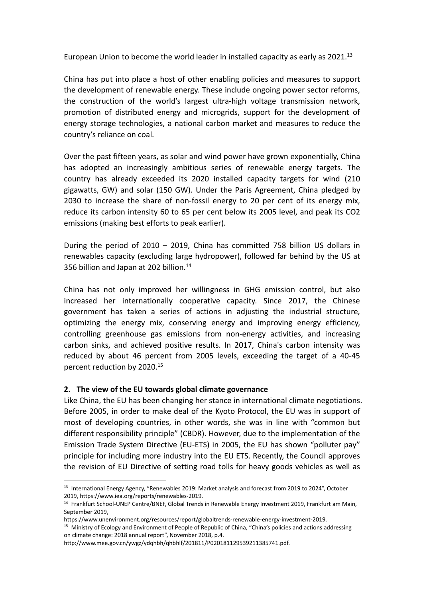European Union to become the world leader in installed capacity as early as  $2021^{13}$  $2021^{13}$  $2021^{13}$ 

China has put into place a host of other enabling policies and measures to support the development of renewable energy. These include ongoing power sector reforms, the construction of the world's largest ultra-high voltage transmission network, promotion of distributed energy and microgrids, support for the development of energy storage technologies, a national carbon market and measures to reduce the country's reliance on coal.

Over the past fifteen years, as solar and wind power have grown exponentially, China has adopted an increasingly ambitious series of renewable energy targets. The country has already exceeded its 2020 installed capacity targets for wind (210 gigawatts, GW) and solar (150 GW). Under the Paris Agreement, China pledged by 2030 to increase the share of non-fossil energy to 20 per cent of its energy mix, reduce its carbon intensity 60 to 65 per cent below its 2005 level, and peak its CO2 emissions (making best efforts to peak earlier).

During the period of 2010 – 2019, China has committed 758 billion US dollars in renewables capacity (excluding large hydropower), followed far behind by the US at 356 billion and Japan at 202 billion.<sup>[14](#page-6-1)</sup>

China has not only improved her willingness in GHG emission control, but also increased her internationally cooperative capacity. Since 2017, the Chinese government has taken a series of actions in adjusting the industrial structure, optimizing the energy mix, conserving energy and improving energy efficiency, controlling greenhouse gas emissions from non-energy activities, and increasing carbon sinks, and achieved positive results. In 2017, China's carbon intensity was reduced by about 46 percent from 2005 levels, exceeding the target of a 40-45 percent reduction by 2020.[15](#page-6-2)

#### **2. The view of the EU towards global climate governance**

Like China, the EU has been changing her stance in international climate negotiations. Before 2005, in order to make deal of the Kyoto Protocol, the EU was in support of most of developing countries, in other words, she was in line with "common but different responsibility principle" (CBDR). However, due to the implementation of the Emission Trade System Directive (EU-ETS) in 2005, the EU has shown "polluter pay" principle for including more industry into the EU ETS. Recently, the Council approves the revision of EU Directive of setting road tolls for heavy goods vehicles as well as

<span id="page-6-0"></span><sup>&</sup>lt;sup>13</sup> International Energy Agency, "Renewables 2019: Market analysis and forecast from 2019 to 2024", October 2019, https://www.iea.org/reports/renewables-2019.

<span id="page-6-1"></span><sup>14</sup> Frankfurt School-UNEP Centre/BNEF, Global Trends in Renewable Energy Investment 2019, Frankfurt am Main, September 2019,

https://www.unenvironment.org/resources/report/globaltrends-renewable-energy-investment-2019.

<span id="page-6-2"></span><sup>15</sup> Ministry of Ecology and Environment of People of Republic of China, "China's policies and actions addressing on climate change: 2018 annual report", November 2018, p.4.

http://www.mee.gov.cn/ywgz/ydqhbh/qhbhlf/201811/P020181129539211385741.pdf.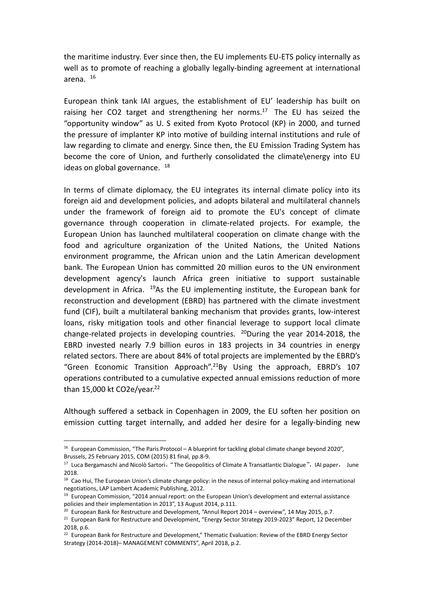the maritime industry. Ever since then, the EU implements EU-ETS policy internally as well as to promote of reaching a globally legally-binding agreement at international arena. [16](#page-7-0)

European think tank IAI argues, the establishment of EU' leadership has built on raising her CO2 target and strengthening her norms. $17$  The EU has seized the "opportunity window" as U. S exited from Kyoto Protocol (KP) in 2000, and turned the pressure of implanter KP into motive of building internal institutions and rule of law regarding to climate and energy. Since then, the EU Emission Trading System has become the core of Union, and furtherly consolidated the climate\energy into EU ideas on global governance.  $18$ 

In terms of climate diplomacy, the EU integrates its internal climate policy into its foreign aid and development policies, and adopts bilateral and multilateral channels under the framework of foreign aid to promote the EU's concept of climate governance through cooperation in climate-related projects. For example, the European Union has launched multilateral cooperation on climate change with the food and agriculture organization of the United Nations, the United Nations environment programme, the African union and the Latin American development bank. The European Union has committed 20 million euros to the UN environment development agency's launch Africa green initiative to support sustainable development in Africa. [19](#page-7-3)As the EU implementing institute, the European bank for reconstruction and development (EBRD) has partnered with the climate investment fund (CIF), built a multilateral banking mechanism that provides grants, low-interest loans, risky mitigation tools and other financial leverage to support local climate change-related projects in developing countries.  $^{20}$  $^{20}$  $^{20}$ During the year 2014-2018, the EBRD invested nearly 7.9 billion euros in 183 projects in 34 countries in energy related sectors. There are about 84% of total projects are implemented by the EBRD's "Green Economic Transition Approach".[21](#page-7-5)By Using the approach, EBRD's 107 operations contributed to a cumulative expected annual emissions reduction of more than 15,000 kt CO2e/year.<sup>[22](#page-7-6)</sup>

Although suffered a setback in Copenhagen in 2009, the EU soften her position on emission cutting target internally, and added her desire for a legally-binding new

<span id="page-7-0"></span> $16$  European Commission, "The Paris Protocol – A blueprint for tackling global climate change beyond 2020", Brussels, 25 February 2015, COM (2015) 81 final, pp.8-9.

<span id="page-7-1"></span><sup>&</sup>lt;sup>17</sup> Luca Bergamaschi and Nicolò Sartori, "The Geopolitics of Climate A Transatlantic Dialogue", IAI paper, June 2018.

<span id="page-7-2"></span><sup>&</sup>lt;sup>18</sup> Cao Hui, The European Union's climate change policy: in the nexus of internal policy-making and international negotiations, LAP Lambert Academic Publishing, 2012.

<span id="page-7-3"></span><sup>&</sup>lt;sup>19</sup> European Commission, "2014 annual report: on the European Union's development and external assistance policies and their implementation in 2013", 13 August 2014, p.111.

<span id="page-7-4"></span> $20$  European Bank for Restructure and Development, "Annul Report 2014 – overview", 14 May 2015, p.7.

<span id="page-7-5"></span><sup>&</sup>lt;sup>21</sup> European Bank for Restructure and Development, "Energy Sector Strategy 2019-2023" Report, 12 December 2018, p.6.

<span id="page-7-6"></span><sup>&</sup>lt;sup>22</sup> European Bank for Restructure and Development," Thematic Evaluation: Review of the EBRD Energy Sector Strategy (2014-2018)– MANAGEMENT COMMENTS", April 2018, p.2.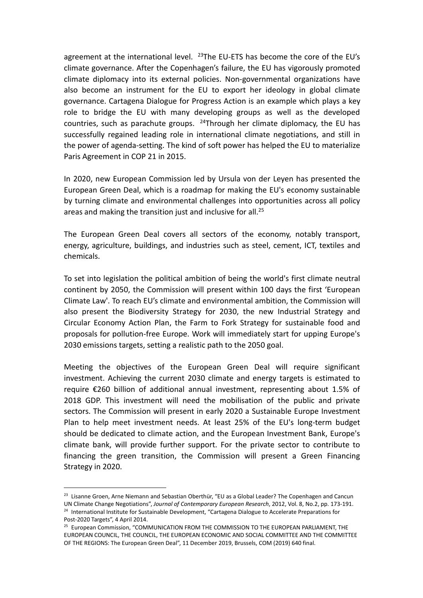agreement at the international level.  $^{23}$  $^{23}$  $^{23}$ The EU-ETS has become the core of the EU's climate governance. After the Copenhagen's failure, the EU has vigorously promoted climate diplomacy into its external policies. Non-governmental organizations have also become an instrument for the EU to export her ideology in global climate governance. Cartagena Dialogue for Progress Action is an example which plays a key role to bridge the EU with many developing groups as well as the developed countries, such as parachute groups.  $24$ Through her climate diplomacy, the EU has successfully regained leading role in international climate negotiations, and still in the power of agenda-setting. The kind of soft power has helped the EU to materialize Paris Agreement in COP 21 in 2015.

In 2020, new European Commission led by Ursula von der Leyen has presented the European Green Deal, which is a roadmap for making the EU's economy sustainable by turning climate and environmental challenges into opportunities across all policy areas and making the transition just and inclusive for all.<sup>[25](#page-8-2)</sup>

The European Green Deal covers all sectors of the economy, notably transport, energy, agriculture, buildings, and industries such as steel, cement, ICT, textiles and chemicals.

To set into legislation the political ambition of being the world's first climate neutral continent by 2050, the Commission will present within 100 days the first 'European Climate Law'. To reach EU's climate and environmental ambition, the Commission will also present the Biodiversity Strategy for 2030, the new Industrial Strategy and Circular Economy Action Plan, the Farm to Fork Strategy for sustainable food and proposals for pollution-free Europe. Work will immediately start for upping Europe's 2030 emissions targets, setting a realistic path to the 2050 goal.

Meeting the objectives of the European Green Deal will require significant investment. Achieving the current 2030 climate and energy targets is estimated to require €260 billion of additional annual investment, representing about 1.5% of 2018 GDP. This investment will need the mobilisation of the public and private sectors. The Commission will present in early 2020 a Sustainable Europe Investment Plan to help meet investment needs. At least 25% of the EU's long-term budget should be dedicated to climate action, and the European Investment Bank, Europe's climate bank, will provide further support. For the private sector to contribute to financing the green transition, the Commission will present a Green Financing Strategy in 2020.

<span id="page-8-1"></span><span id="page-8-0"></span><sup>&</sup>lt;sup>23</sup> Lisanne Groen, Arne Niemann and Sebastian Oberthür, "EU as a Global Leader? The Copenhagen and Cancun UN Climate Change Negotiations", *Journal of Contemporary European Research*, 2012, Vol. 8, No.2, pp. 173-191. <sup>24</sup> International Institute for Sustainable Development, "Cartagena Dialogue to Accelerate Preparations for Post-2020 Targets", 4 April 2014.

<span id="page-8-2"></span><sup>&</sup>lt;sup>25</sup> European Commission, "COMMUNICATION FROM THE COMMISSION TO THE EUROPEAN PARLIAMENT, THE EUROPEAN COUNCIL, THE COUNCIL, THE EUROPEAN ECONOMIC AND SOCIAL COMMITTEE AND THE COMMITTEE OF THE REGIONS:The European Green Deal", 11 December 2019, Brussels, COM (2019) 640 final.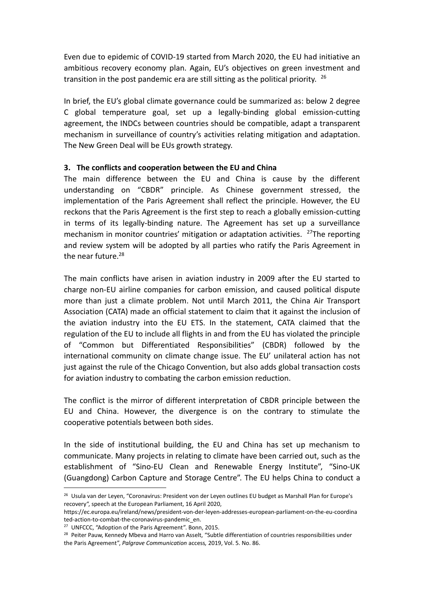Even due to epidemic of COVID-19 started from March 2020, the EU had initiative an ambitious recovery economy plan. Again, EU's objectives on green investment and transition in the post pandemic era are still sitting as the political priority.  $26$ 

In brief, the EU's global climate governance could be summarized as: below 2 degree C global temperature goal, set up a legally-binding global emission-cutting agreement, the INDCs between countries should be compatible, adapt a transparent mechanism in surveillance of country's activities relating mitigation and adaptation. The New Green Deal will be EUs growth strategy.

#### **3. The conflicts and cooperation between the EU and China**

The main difference between the EU and China is cause by the different understanding on "CBDR" principle. As Chinese government stressed, the implementation of the Paris Agreement shall reflect the principle. However, the EU reckons that the Paris Agreement is the first step to reach a globally emission-cutting in terms of its legally-binding nature. The Agreement has set up a surveillance mechanism in monitor countries' mitigation or adaptation activities.  $27$ The reporting and review system will be adopted by all parties who ratify the Paris Agreement in the near future.<sup>[28](#page-9-2)</sup>

The main conflicts have arisen in aviation industry in 2009 after the EU started to charge non-EU airline companies for carbon emission, and caused political dispute more than just a climate problem. Not until March 2011, the China Air Transport Association (CATA) made an official statement to claim that it against the inclusion of the aviation industry into the EU ETS. In the statement, CATA claimed that the regulation of the EU to include all flights in and from the EU has violated the principle of "Common but Differentiated Responsibilities" (CBDR) followed by the international community on climate change issue. The EU' unilateral action has not just against the rule of the Chicago Convention, but also adds global transaction costs for aviation industry to combating the carbon emission reduction.

The conflict is the mirror of different interpretation of CBDR principle between the EU and China. However, the divergence is on the contrary to stimulate the cooperative potentials between both sides.

In the side of institutional building, the EU and China has set up mechanism to communicate. Many projects in relating to climate have been carried out, such as the establishment of "Sino-EU Clean and Renewable Energy Institute", "Sino-UK (Guangdong) Carbon Capture and Storage Centre". The EU helps China to conduct a

<span id="page-9-0"></span><sup>&</sup>lt;sup>26</sup> Usula van der Leyen, "Coronavirus: President von der Leyen outlines EU budget as Marshall Plan for Europe's recovery", speech at the European Parliament, 16 April 2020,

https://ec.europa.eu/ireland/news/president-von-der-leyen-addresses-european-parliament-on-the-eu-coordina ted-action-to-combat-the-coronavirus-pandemic\_en.

<span id="page-9-1"></span><sup>27</sup> UNFCCC, "Adoption of the Paris Agreement". Bonn, 2015.

<span id="page-9-2"></span><sup>&</sup>lt;sup>28</sup> Peiter Pauw, Kennedy Mbeva and Harro van Asselt, "Subtle differentiation of countries responsibilities under the Paris Agreement", *Palgrave Communication* access*,* 2019, Vol. 5. No. 86.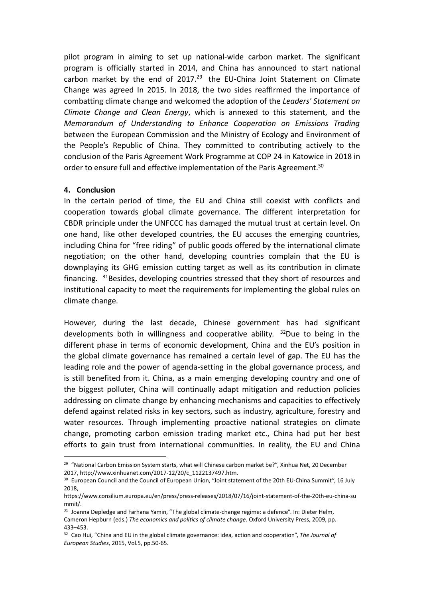pilot program in aiming to set up national-wide carbon market. The significant program is officially started in 2014, and China has announced to start national carbon market by the end of  $2017<sup>29</sup>$  $2017<sup>29</sup>$  $2017<sup>29</sup>$  the EU-China Joint Statement on Climate Change was agreed In 2015. In 2018, the two sides reaffirmed the importance of combatting climate change and welcomed the adoption of the *Leaders' Statement on Climate Change and Clean Energy*, which is annexed to this statement, and the *Memorandum of Understanding to Enhance Cooperation on Emissions Trading* between the European Commission and the Ministry of Ecology and Environment of the People's Republic of China. They committed to contributing actively to the conclusion of the Paris Agreement Work Programme at COP 24 in Katowice in 2018 in order to ensure full and effective implementation of the Paris Agreement.<sup>[30](#page-10-1)</sup>

#### **4. Conclusion**

In the certain period of time, the EU and China still coexist with conflicts and cooperation towards global climate governance. The different interpretation for CBDR principle under the UNFCCC has damaged the mutual trust at certain level. On one hand, like other developed countries, the EU accuses the emerging countries, including China for "free riding" of public goods offered by the international climate negotiation; on the other hand, developing countries complain that the EU is downplaying its GHG emission cutting target as well as its contribution in climate financing.  $31B$  $31B$ esides, developing countries stressed that they short of resources and institutional capacity to meet the requirements for implementing the global rules on climate change.

However, during the last decade, Chinese government has had significant developments both in willingness and cooperative ability.  $32$ Due to being in the different phase in terms of economic development, China and the EU's position in the global climate governance has remained a certain level of gap. The EU has the leading role and the power of agenda-setting in the global governance process, and is still benefited from it. China, as a main emerging developing country and one of the biggest polluter, China will continually adapt mitigation and reduction policies addressing on climate change by enhancing mechanisms and capacities to effectively defend against related risks in key sectors, such as industry, agriculture, forestry and water resources. Through implementing proactive national strategies on climate change, promoting carbon emission trading market etc., China had put her best efforts to gain trust from international communities. In reality, the EU and China

<span id="page-10-0"></span><sup>&</sup>lt;sup>29</sup> "National Carbon Emission System starts, what will Chinese carbon market be?", Xinhua Net, 20 December 2017, http://www.xinhuanet.com/2017-12/20/c\_1122137497.htm.

<span id="page-10-1"></span><sup>&</sup>lt;sup>30</sup> European Council and the Council of European Union, "Joint statement of the 20th EU-China Summit", 16 July 2018,

https://www.consilium.europa.eu/en/press/press-releases/2018/07/16/joint-statement-of-the-20th-eu-china-su mmit/.

<span id="page-10-2"></span><sup>&</sup>lt;sup>31</sup> Joanna Depledge and Farhana Yamin, "The global climate-change regime: a defence". In: Dieter Helm, Cameron Hepburn (eds.) *The economics and politics of climate change*. Oxford University Press, 2009, pp. 433–453.

<span id="page-10-3"></span><sup>32</sup> Cao Hui, "China and EU in the global climate governance: idea, action and cooperation", *The Journal of European Studies*, 2015, Vol.5, pp.50-65.